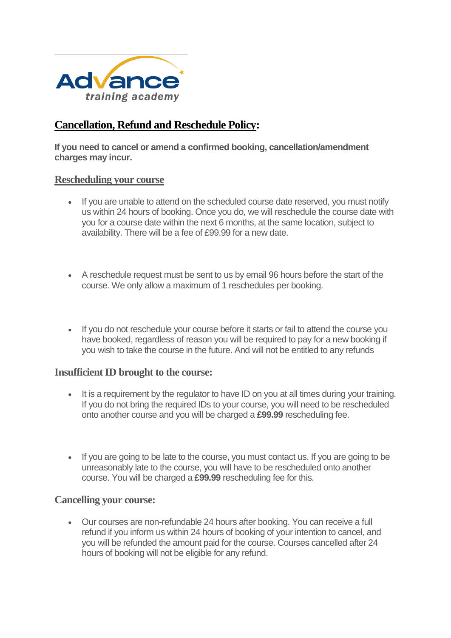

# **[Cancellation, Refund and Reschedule Policy:](https://www.get-licensed.co.uk/terms#collapseNine)**

**If you need to cancel or amend a confirmed booking, cancellation/amendment charges may incur.**

#### **Rescheduling your course**

- If you are unable to attend on the scheduled course date reserved, you must notify us within 24 hours of booking. Once you do, we will reschedule the course date with you for a course date within the next 6 months, at the same location, subject to availability. There will be a fee of £99.99 for a new date.
- A reschedule request must be sent to us by email 96 hours before the start of the course. We only allow a maximum of 1 reschedules per booking.
- If you do not reschedule your course before it starts or fail to attend the course you have booked, regardless of reason you will be required to pay for a new booking if you wish to take the course in the future. And will not be entitled to any refunds

#### **Insufficient ID brought to the course:**

- It is a requirement by the regulator to have ID on you at all times during your training. If you do not bring the required IDs to your course, you will need to be rescheduled onto another course and you will be charged a **£99.99** rescheduling fee.
- If you are going to be late to the course, you must contact us. If you are going to be unreasonably late to the course, you will have to be rescheduled onto another course. You will be charged a **£99.99** rescheduling fee for this.

#### **Cancelling your course:**

 Our courses are non-refundable 24 hours after booking. You can receive a full refund if you inform us within 24 hours of booking of your intention to cancel, and you will be refunded the amount paid for the course. Courses cancelled after 24 hours of booking will not be eligible for any refund.